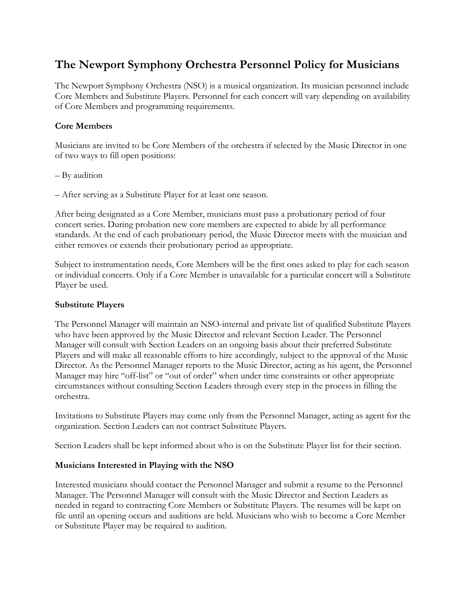# **The Newport Symphony Orchestra Personnel Policy for Musicians**

The Newport Symphony Orchestra (NSO) is a musical organization. Its musician personnel include Core Members and Substitute Players. Personnel for each concert will vary depending on availability of Core Members and programming requirements.

## **Core Members**

Musicians are invited to be Core Members of the orchestra if selected by the Music Director in one of two ways to fill open positions:

- By audition
- After serving as a Substitute Player for at least one season.

After being designated as a Core Member, musicians must pass a probationary period of four concert series. During probation new core members are expected to abide by all performance standards. At the end of each probationary period, the Music Director meets with the musician and either removes or extends their probationary period as appropriate.

Subject to instrumentation needs, Core Members will be the first ones asked to play for each season or individual concerts. Only if a Core Member is unavailable for a particular concert will a Substitute Player be used.

#### **Substitute Players**

The Personnel Manager will maintain an NSO-internal and private list of qualified Substitute Players who have been approved by the Music Director and relevant Section Leader. The Personnel Manager will consult with Section Leaders on an ongoing basis about their preferred Substitute Players and will make all reasonable efforts to hire accordingly, subject to the approval of the Music Director. As the Personnel Manager reports to the Music Director, acting as his agent, the Personnel Manager may hire "off-list" or "out of order" when under time constraints or other appropriate circumstances without consulting Section Leaders through every step in the process in filling the orchestra.

Invitations to Substitute Players may come only from the Personnel Manager, acting as agent for the organization. Section Leaders can not contract Substitute Players.

Section Leaders shall be kept informed about who is on the Substitute Player list for their section.

#### **Musicians Interested in Playing with the NSO**

Interested musicians should contact the Personnel Manager and submit a resume to the Personnel Manager. The Personnel Manager will consult with the Music Director and Section Leaders as needed in regard to contracting Core Members or Substitute Players. The resumes will be kept on file until an opening occurs and auditions are held. Musicians who wish to become a Core Member or Substitute Player may be required to audition.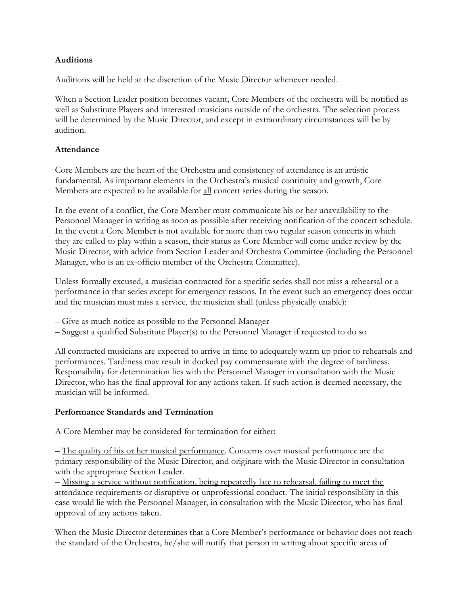#### **Auditions**

Auditions will be held at the discretion of the Music Director whenever needed.

When a Section Leader position becomes vacant, Core Members of the orchestra will be notified as well as Substitute Players and interested musicians outside of the orchestra. The selection process will be determined by the Music Director, and except in extraordinary circumstances will be by audition.

## **Attendance**

Core Members are the heart of the Orchestra and consistency of attendance is an artistic fundamental. As important elements in the Orchestra's musical continuity and growth, Core Members are expected to be available for all concert series during the season.

In the event of a conflict, the Core Member must communicate his or her unavailability to the Personnel Manager in writing as soon as possible after receiving notification of the concert schedule. In the event a Core Member is not available for more than two regular season concerts in which they are called to play within a season, their status as Core Member will come under review by the Music Director, with advice from Section Leader and Orchestra Committee (including the Personnel Manager, who is an ex-officio member of the Orchestra Committee).

Unless formally excused, a musician contracted for a specific series shall not miss a rehearsal or a performance in that series except for emergency reasons. In the event such an emergency does occur and the musician must miss a service, the musician shall (unless physically unable):

- Give as much notice as possible to the Personnel Manager
- Suggest a qualified Substitute Player(s) to the Personnel Manager if requested to do so

All contracted musicians are expected to arrive in time to adequately warm up prior to rehearsals and performances. Tardiness may result in docked pay commensurate with the degree of tardiness. Responsibility for determination lies with the Personnel Manager in consultation with the Music Director, who has the final approval for any actions taken. If such action is deemed necessary, the musician will be informed.

# **Performance Standards and Termination**

A Core Member may be considered for termination for either:

– The quality of his or her musical performance. Concerns over musical performance are the primary responsibility of the Music Director, and originate with the Music Director in consultation with the appropriate Section Leader.

– Missing a service without notification, being repeatedly late to rehearsal, failing to meet the attendance requirements or disruptive or unprofessional conduct. The initial responsibility in this case would lie with the Personnel Manager, in consultation with the Music Director, who has final approval of any actions taken.

When the Music Director determines that a Core Member's performance or behavior does not reach the standard of the Orchestra, he/she will notify that person in writing about specific areas of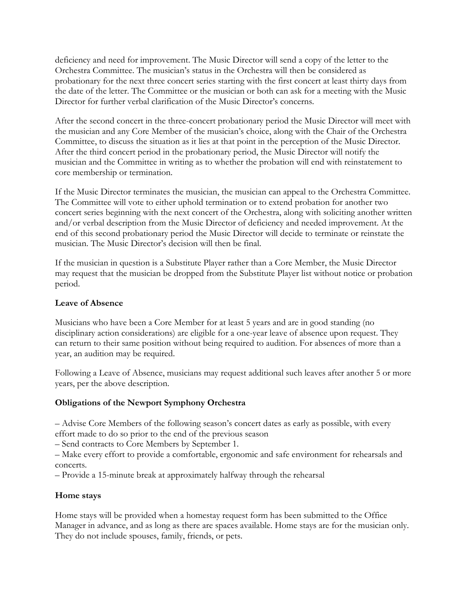deficiency and need for improvement. The Music Director will send a copy of the letter to the Orchestra Committee. The musician's status in the Orchestra will then be considered as probationary for the next three concert series starting with the first concert at least thirty days from the date of the letter. The Committee or the musician or both can ask for a meeting with the Music Director for further verbal clarification of the Music Director's concerns.

After the second concert in the three-concert probationary period the Music Director will meet with the musician and any Core Member of the musician's choice, along with the Chair of the Orchestra Committee, to discuss the situation as it lies at that point in the perception of the Music Director. After the third concert period in the probationary period, the Music Director will notify the musician and the Committee in writing as to whether the probation will end with reinstatement to core membership or termination.

If the Music Director terminates the musician, the musician can appeal to the Orchestra Committee. The Committee will vote to either uphold termination or to extend probation for another two concert series beginning with the next concert of the Orchestra, along with soliciting another written and/or verbal description from the Music Director of deficiency and needed improvement. At the end of this second probationary period the Music Director will decide to terminate or reinstate the musician. The Music Director's decision will then be final.

If the musician in question is a Substitute Player rather than a Core Member, the Music Director may request that the musician be dropped from the Substitute Player list without notice or probation period.

#### **Leave of Absence**

Musicians who have been a Core Member for at least 5 years and are in good standing (no disciplinary action considerations) are eligible for a one-year leave of absence upon request. They can return to their same position without being required to audition. For absences of more than a year, an audition may be required.

Following a Leave of Absence, musicians may request additional such leaves after another 5 or more years, per the above description.

#### **Obligations of the Newport Symphony Orchestra**

– Advise Core Members of the following season's concert dates as early as possible, with every effort made to do so prior to the end of the previous season

– Send contracts to Core Members by September 1.

– Make every effort to provide a comfortable, ergonomic and safe environment for rehearsals and concerts.

– Provide a 15-minute break at approximately halfway through the rehearsal

#### **Home stays**

Home stays will be provided when a homestay request form has been submitted to the Office Manager in advance, and as long as there are spaces available. Home stays are for the musician only. They do not include spouses, family, friends, or pets.